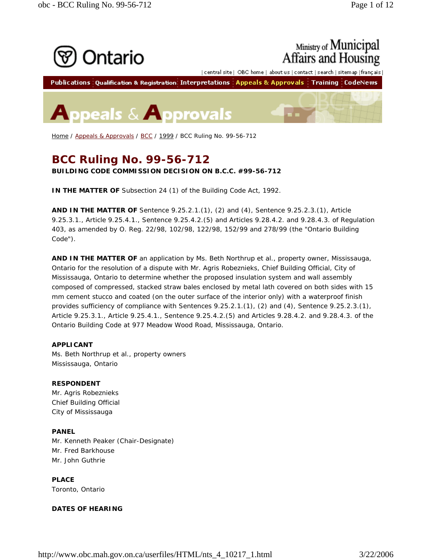

Home / Appeals & Approvals / BCC / 1999 / BCC Ruling No. 99-56-712

# **BCC Ruling No. 99-56-712**

**BUILDING CODE COMMISSION DECISION ON B.C.C. #99-56-712**

**IN THE MATTER OF** Subsection 24 (1) of the Building Code Act, 1992.

**AND IN THE MATTER OF** Sentence 9.25.2.1.(1), (2) and (4), Sentence 9.25.2.3.(1), Article 9.25.3.1., Article 9.25.4.1., Sentence 9.25.4.2.(5) and Articles 9.28.4.2. and 9.28.4.3. of Regulation 403, as amended by O. Reg. 22/98, 102/98, 122/98, 152/99 and 278/99 (the "Ontario Building Code").

**AND IN THE MATTER OF** an application by Ms. Beth Northrup et al., property owner, Mississauga, Ontario for the resolution of a dispute with Mr. Agris Robeznieks, Chief Building Official, City of Mississauga, Ontario to determine whether the proposed insulation system and wall assembly composed of compressed, stacked straw bales enclosed by metal lath covered on both sides with 15 mm cement stucco and coated (on the outer surface of the interior only) with a waterproof finish provides sufficiency of compliance with Sentences 9.25.2.1.(1), (2) and (4), Sentence 9.25.2.3.(1), Article 9.25.3.1., Article 9.25.4.1., Sentence 9.25.4.2.(5) and Articles 9.28.4.2. and 9.28.4.3. of the Ontario Building Code at 977 Meadow Wood Road, Mississauga, Ontario.

# **APPLICANT**

Ms. Beth Northrup et al., property owners Mississauga, Ontario

# **RESPONDENT**

Mr. Agris Robeznieks Chief Building Official City of Mississauga

# **PANEL**

Mr. Kenneth Peaker (Chair-Designate) Mr. Fred Barkhouse Mr. John Guthrie

**PLACE** Toronto, Ontario

# **DATES OF HEARING**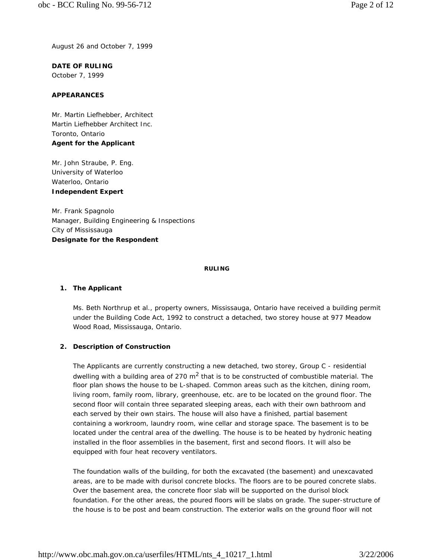August 26 and October 7, 1999

**DATE OF RULING** October 7, 1999

## **APPEARANCES**

Mr. Martin Liefhebber, Architect Martin Liefhebber Architect Inc. Toronto, Ontario **Agent for the Applicant**

Mr. John Straube, P. Eng. University of Waterloo Waterloo, Ontario **Independent Expert**

Mr. Frank Spagnolo Manager, Building Engineering & Inspections City of Mississauga **Designate for the Respondent**

#### **RULING**

#### **1. The Applicant**

Ms. Beth Northrup et al., property owners, Mississauga, Ontario have received a building permit under the *Building Code Act, 1992* to construct a detached, two storey house at 977 Meadow Wood Road, Mississauga, Ontario.

#### **2. Description of Construction**

The Applicants are currently constructing a new detached, two storey, Group C - residential dwelling with a building area of 270  $m^2$  that is to be constructed of combustible material. The floor plan shows the house to be L-shaped. Common areas such as the kitchen, dining room, living room, family room, library, greenhouse, etc. are to be located on the ground floor. The second floor will contain three separated sleeping areas, each with their own bathroom and each served by their own stairs. The house will also have a finished, partial basement containing a workroom, laundry room, wine cellar and storage space. The basement is to be located under the central area of the dwelling. The house is to be heated by hydronic heating installed in the floor assemblies in the basement, first and second floors. It will also be equipped with four heat recovery ventilators.

The foundation walls of the building, for both the excavated (the basement) and unexcavated areas, are to be made with durisol concrete blocks. The floors are to be poured concrete slabs. Over the basement area, the concrete floor slab will be supported on the durisol block foundation. For the other areas, the poured floors will be slabs on grade. The super-structure of the house is to be post and beam construction. The exterior walls on the ground floor will not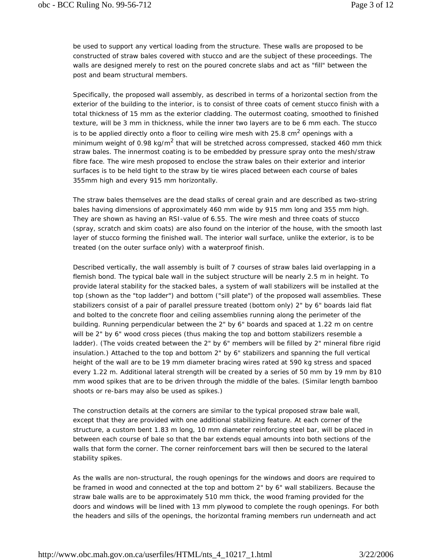be used to support any vertical loading from the structure. These walls are proposed to be constructed of straw bales covered with stucco and are the subject of these proceedings. The walls are designed merely to rest on the poured concrete slabs and act as "fill" between the post and beam structural members.

Specifically, the proposed wall assembly, as described in terms of a horizontal section from the exterior of the building to the interior, is to consist of three coats of cement stucco finish with a total thickness of 15 mm as the exterior cladding. The outermost coating, smoothed to finished texture, will be 3 mm in thickness, while the inner two layers are to be 6 mm each. The stucco is to be applied directly onto a floor to ceiling wire mesh with 25.8 cm<sup>2</sup> openings with a minimum weight of 0.98 kg/m<sup>2</sup> that will be stretched across compressed, stacked 460 mm thick straw bales. The innermost coating is to be embedded by pressure spray onto the mesh/straw fibre face. The wire mesh proposed to enclose the straw bales on their exterior and interior surfaces is to be held tight to the straw by tie wires placed between each course of bales 355mm high and every 915 mm horizontally.

The straw bales themselves are the dead stalks of cereal grain and are described as two-string bales having dimensions of approximately 460 mm wide by 915 mm long and 355 mm high. They are shown as having an RSI-value of 6.55. The wire mesh and three coats of stucco (spray, scratch and skim coats) are also found on the interior of the house, with the smooth last layer of stucco forming the finished wall. The interior wall surface, unlike the exterior, is to be treated (on the outer surface only) with a waterproof finish.

Described vertically, the wall assembly is built of 7 courses of straw bales laid overlapping in a flemish bond. The typical bale wall in the subject structure will be nearly 2.5 m in height. To provide lateral stability for the stacked bales, a system of wall stabilizers will be installed at the top (shown as the "top ladder") and bottom ("sill plate") of the proposed wall assemblies. These stabilizers consist of a pair of parallel pressure treated (bottom only) 2" by 6" boards laid flat and bolted to the concrete floor and ceiling assemblies running along the perimeter of the building. Running perpendicular between the 2" by 6" boards and spaced at 1.22 m on centre will be 2" by 6" wood cross pieces (thus making the top and bottom stabilizers resemble a ladder). (The voids created between the 2" by 6" members will be filled by 2" mineral fibre rigid insulation.) Attached to the top and bottom 2" by 6" stabilizers and spanning the full vertical height of the wall are to be 19 mm diameter bracing wires rated at 590 kg stress and spaced every 1.22 m. Additional lateral strength will be created by a series of 50 mm by 19 mm by 810 mm wood spikes that are to be driven through the middle of the bales. (Similar length bamboo shoots or re-bars may also be used as spikes.)

The construction details at the corners are similar to the typical proposed straw bale wall, except that they are provided with one additional stabilizing feature. At each corner of the structure, a custom bent 1.83 m long, 10 mm diameter reinforcing steel bar, will be placed in between each course of bale so that the bar extends equal amounts into both sections of the walls that form the corner. The corner reinforcement bars will then be secured to the lateral stability spikes.

As the walls are non-structural, the rough openings for the windows and doors are required to be framed in wood and connected at the top and bottom 2" by 6" wall stabilizers. Because the straw bale walls are to be approximately 510 mm thick, the wood framing provided for the doors and windows will be lined with 13 mm plywood to complete the rough openings. For both the headers and sills of the openings, the horizontal framing members run underneath and act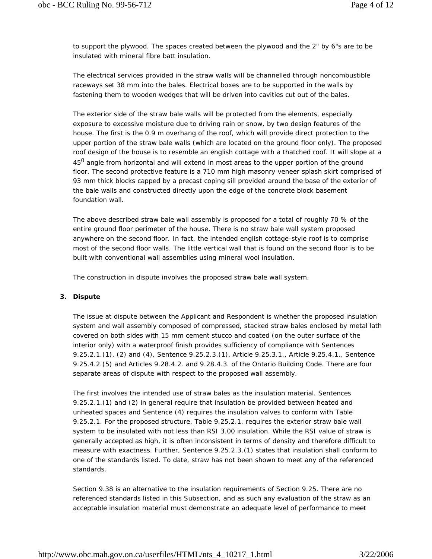to support the plywood. The spaces created between the plywood and the 2" by 6"s are to be insulated with mineral fibre batt insulation.

The electrical services provided in the straw walls will be channelled through noncombustible raceways set 38 mm into the bales. Electrical boxes are to be supported in the walls by fastening them to wooden wedges that will be driven into cavities cut out of the bales.

The exterior side of the straw bale walls will be protected from the elements, especially exposure to excessive moisture due to driving rain or snow, by two design features of the house. The first is the 0.9 m overhang of the roof, which will provide direct protection to the upper portion of the straw bale walls (which are located on the ground floor only). The proposed roof design of the house is to resemble an english cottage with a thatched roof. It will slope at a 45<sup>0</sup> angle from horizontal and will extend in most areas to the upper portion of the ground floor. The second protective feature is a 710 mm high masonry veneer splash skirt comprised of 93 mm thick blocks capped by a precast coping sill provided around the base of the exterior of the bale walls and constructed directly upon the edge of the concrete block basement foundation wall.

The above described straw bale wall assembly is proposed for a total of roughly 70 % of the entire ground floor perimeter of the house. There is no straw bale wall system proposed anywhere on the second floor. In fact, the intended english cottage-style roof is to comprise most of the second floor walls. The little vertical wall that is found on the second floor is to be built with conventional wall assemblies using mineral wool insulation.

The construction in dispute involves the proposed straw bale wall system.

# **3. Dispute**

The issue at dispute between the Applicant and Respondent is whether the proposed insulation system and wall assembly composed of compressed, stacked straw bales enclosed by metal lath covered on both sides with 15 mm cement stucco and coated (on the outer surface of the interior only) with a waterproof finish provides sufficiency of compliance with Sentences 9.25.2.1.(1), (2) and (4), Sentence 9.25.2.3.(1), Article 9.25.3.1., Article 9.25.4.1., Sentence 9.25.4.2.(5) and Articles 9.28.4.2. and 9.28.4.3. of the Ontario Building Code. There are four separate areas of dispute with respect to the proposed wall assembly.

The first involves the intended use of straw bales as the insulation material. Sentences 9.25.2.1.(1) and (2) in general require that insulation be provided between heated and unheated spaces and Sentence (4) requires the insulation valves to conform with Table 9.25.2.1. For the proposed structure, Table 9.25.2.1. requires the exterior straw bale wall system to be insulated with not less than RSI 3.00 insulation. While the RSI value of straw is generally accepted as high, it is often inconsistent in terms of density and therefore difficult to measure with exactness. Further, Sentence 9.25.2.3.(1) states that insulation shall conform to one of the standards listed. To date, straw has not been shown to meet any of the referenced standards.

Section 9.38 is an alternative to the insulation requirements of Section 9.25. There are no referenced standards listed in this Subsection, and as such any evaluation of the straw as an acceptable insulation material must demonstrate an adequate level of performance to meet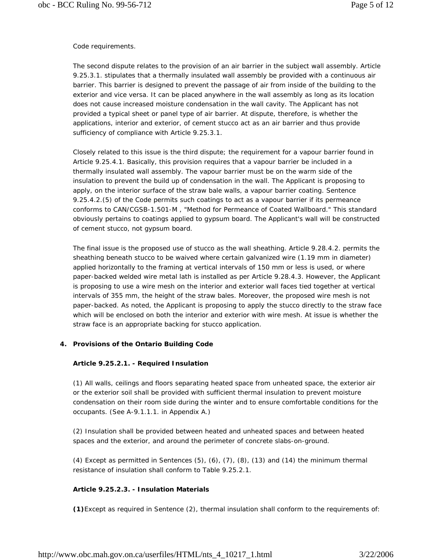## Code requirements.

The second dispute relates to the provision of an air barrier in the subject wall assembly. Article 9.25.3.1. stipulates that a thermally insulated wall assembly be provided with a continuous air barrier. This barrier is designed to prevent the passage of air from inside of the building to the exterior and vice versa. It can be placed anywhere in the wall assembly as long as its location does not cause increased moisture condensation in the wall cavity. The Applicant has not provided a typical sheet or panel type of air barrier. At dispute, therefore, is whether the applications, interior and exterior, of cement stucco act as an air barrier and thus provide sufficiency of compliance with Article 9.25.3.1.

Closely related to this issue is the third dispute; the requirement for a vapour barrier found in Article 9.25.4.1. Basically, this provision requires that a vapour barrier be included in a thermally insulated wall assembly. The vapour barrier must be on the warm side of the insulation to prevent the build up of condensation in the wall. The Applicant is proposing to apply, on the interior surface of the straw bale walls, a vapour barrier coating. Sentence 9.25.4.2.(5) of the Code permits such coatings to act as a vapour barrier if its permeance conforms to CAN/CGSB-1.501-M , "Method for Permeance of Coated Wallboard." This standard obviously pertains to coatings applied to gypsum board. The Applicant's wall will be constructed of cement stucco, not gypsum board.

The final issue is the proposed use of stucco as the wall sheathing. Article 9.28.4.2. permits the sheathing beneath stucco to be waived where certain galvanized wire (1.19 mm in diameter) applied horizontally to the framing at vertical intervals of 150 mm or less is used, or where paper-backed welded wire metal lath is installed as per Article 9.28.4.3. However, the Applicant is proposing to use a wire mesh on the interior and exterior wall faces tied together at vertical intervals of 355 mm, the height of the straw bales. Moreover, the proposed wire mesh is not paper-backed. As noted, the Applicant is proposing to apply the stucco directly to the straw face which will be enclosed on both the interior and exterior with wire mesh. At issue is whether the straw face is an appropriate backing for stucco application.

# **4. Provisions of the Ontario Building Code**

# **Article 9.25.2.1. - Required Insulation**

(1) All walls, ceilings and floors separating heated space from unheated space, the exterior air or the exterior soil shall be provided with sufficient thermal insulation to prevent moisture condensation on their room side during the winter and to ensure comfortable conditions for the occupants. (See A-9.1.1.1. in Appendix A.)

(2) Insulation shall be provided between heated and unheated spaces and between heated spaces and the exterior, and around the perimeter of concrete slabs-on-ground.

(4) Except as permitted in Sentences  $(5)$ ,  $(6)$ ,  $(7)$ ,  $(8)$ ,  $(13)$  and  $(14)$  the minimum thermal resistance of insulation shall conform to Table 9.25.2.1.

# **Article 9.25.2.3. - Insulation Materials**

**(1)**Except as required in Sentence (2), thermal insulation shall conform to the requirements of: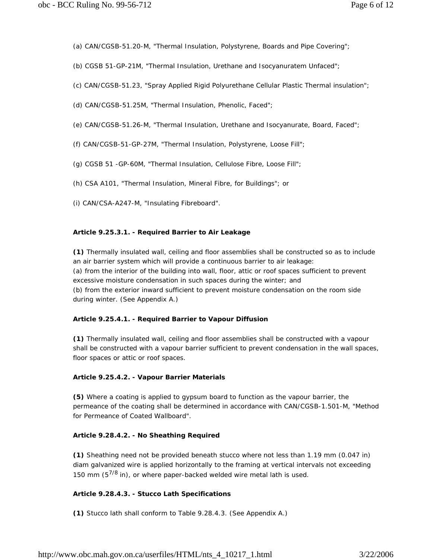- (a) CAN/CGSB-51.20-M, "Thermal Insulation, Polystyrene, Boards and Pipe Covering";
- (b) CGSB 51-GP-21M, "Thermal Insulation, Urethane and Isocyanuratem Unfaced";
- (c) CAN/CGSB-51.23, "Spray Applied Rigid Polyurethane Cellular Plastic Thermal insulation";
- (d) CAN/CGSB-51.25M, "Thermal Insulation, Phenolic, Faced";
- (e) CAN/CGSB-51.26-M, "Thermal Insulation, Urethane and Isocyanurate, Board, Faced";
- (f) CAN/CGSB-51-GP-27M, "Thermal Insulation, Polystyrene, Loose Fill";
- (g) CGSB 51 -GP-60M, "Thermal Insulation, Cellulose Fibre, Loose Fill";
- (h) CSA A101, "Thermal Insulation, Mineral Fibre, for Buildings"; or
- (i) CAN/CSA-A247-M, "Insulating Fibreboard".

#### **Article 9.25.3.1. - Required Barrier to Air Leakage**

**(1)** Thermally insulated wall, ceiling and floor assemblies shall be constructed so as to include an air barrier system which will provide a continuous barrier to air leakage: (a) from the interior of the building into wall, floor, attic or roof spaces sufficient to prevent excessive moisture condensation in such spaces during the winter; and (b) from the exterior inward sufficient to prevent moisture condensation on the room side during winter. (See Appendix A.)

#### **Article 9.25.4.1. - Required Barrier to Vapour Diffusion**

**(1)** Thermally insulated wall, ceiling and floor assemblies shall be constructed with a vapour shall be constructed with a vapour barrier sufficient to prevent condensation in the wall spaces, floor spaces or attic or roof spaces.

#### **Article 9.25.4.2. - Vapour Barrier Materials**

**(5)** Where a coating is applied to gypsum board to function as the vapour barrier, the permeance of the coating shall be determined in accordance with CAN/CGSB-1.501-M, "Method for Permeance of Coated Wallboard".

# **Article 9.28.4.2. - No Sheathing Required**

**(1)** Sheathing need not be provided beneath stucco where not less than 1.19 mm (0.047 in) diam galvanized wire is applied horizontally to the framing at vertical intervals not exceeding 150 mm (5 $^{7/8}$  in), or where paper-backed welded wire metal lath is used.

# **Article 9.28.4.3. - Stucco Lath Specifications**

**(1)** Stucco lath shall conform to Table 9.28.4.3. (See Appendix A.)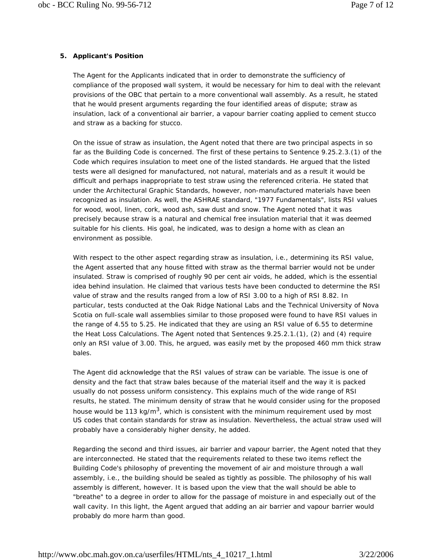# **5. Applicant's Position**

The Agent for the Applicants indicated that in order to demonstrate the sufficiency of compliance of the proposed wall system, it would be necessary for him to deal with the relevant provisions of the OBC that pertain to a more conventional wall assembly. As a result, he stated that he would present arguments regarding the four identified areas of dispute; straw as insulation, lack of a conventional air barrier, a vapour barrier coating applied to cement stucco and straw as a backing for stucco.

On the issue of straw as insulation, the Agent noted that there are two principal aspects in so far as the Building Code is concerned. The first of these pertains to Sentence 9.25.2.3.(1) of the Code which requires insulation to meet one of the listed standards. He argued that the listed tests were all designed for manufactured, not natural, materials and as a result it would be difficult and perhaps inappropriate to test straw using the referenced criteria. He stated that under the Architectural Graphic Standards, however, non-manufactured materials have been recognized as insulation. As well, the ASHRAE standard, "1977 Fundamentals", lists RSI values for wood, wool, linen, cork, wood ash, saw dust and snow. The Agent noted that it was precisely because straw is a natural and chemical free insulation material that it was deemed suitable for his clients. His goal, he indicated, was to design a home with as clean an environment as possible.

With respect to the other aspect regarding straw as insulation, i.e., determining its RSI value, the Agent asserted that any house fitted with straw as the thermal barrier would not be under insulated. Straw is comprised of roughly 90 per cent air voids, he added, which is the essential idea behind insulation. He claimed that various tests have been conducted to determine the RSI value of straw and the results ranged from a low of RSI 3.00 to a high of RSI 8.82. In particular, tests conducted at the Oak Ridge National Labs and the Technical University of Nova Scotia on full-scale wall assemblies similar to those proposed were found to have RSI values in the range of 4.55 to 5.25. He indicated that they are using an RSI value of 6.55 to determine the Heat Loss Calculations. The Agent noted that Sentences 9.25.2.1.(1), (2) and (4) require only an RSI value of 3.00. This, he argued, was easily met by the proposed 460 mm thick straw bales.

The Agent did acknowledge that the RSI values of straw can be variable. The issue is one of density and the fact that straw bales because of the material itself and the way it is packed usually do not possess uniform consistency. This explains much of the wide range of RSI results, he stated. The minimum density of straw that he would consider using for the proposed house would be 113 kg/m<sup>3</sup>, which is consistent with the minimum requirement used by most US codes that contain standards for straw as insulation. Nevertheless, the actual straw used will probably have a considerably higher density, he added.

Regarding the second and third issues, air barrier and vapour barrier, the Agent noted that they are interconnected. He stated that the requirements related to these two items reflect the Building Code's philosophy of preventing the movement of air and moisture through a wall assembly, i.e., the building should be sealed as tightly as possible. The philosophy of his wall assembly is different, however. It is based upon the view that the wall should be able to "breathe" to a degree in order to allow for the passage of moisture in and especially out of the wall cavity. In this light, the Agent argued that adding an air barrier and vapour barrier would probably do more harm than good.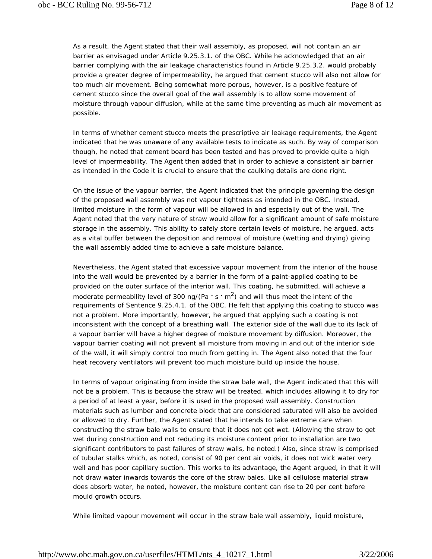As a result, the Agent stated that their wall assembly, as proposed, will not contain an air barrier as envisaged under Article 9.25.3.1. of the OBC. While he acknowledged that an air barrier complying with the air leakage characteristics found in Article 9.25.3.2. would probably provide a greater degree of impermeability, he argued that cement stucco will also not allow for too much air movement. Being somewhat more porous, however, is a positive feature of cement stucco since the overall goal of the wall assembly is to allow some movement of moisture through vapour diffusion, while at the same time preventing as much air movement as possible.

In terms of whether cement stucco meets the prescriptive air leakage requirements, the Agent indicated that he was unaware of any available tests to indicate as such. By way of comparison though, he noted that cement board has been tested and has proved to provide quite a high level of impermeability. The Agent then added that in order to achieve a consistent air barrier as intended in the Code it is crucial to ensure that the caulking details are done right.

On the issue of the vapour barrier, the Agent indicated that the principle governing the design of the proposed wall assembly was not vapour tightness as intended in the OBC. Instead, limited moisture in the form of vapour will be allowed in and especially out of the wall. The Agent noted that the very nature of straw would allow for a significant amount of safe moisture storage in the assembly. This ability to safely store certain levels of moisture, he argued, acts as a vital buffer between the deposition and removal of moisture (wetting and drying) giving the wall assembly added time to achieve a safe moisture balance.

Nevertheless, the Agent stated that excessive vapour movement from the interior of the house into the wall would be prevented by a barrier in the form of a paint-applied coating to be provided on the outer surface of the interior wall. This coating, he submitted, will achieve a moderate permeability level of 300 ng/(Pa · s · m<sup>2</sup>) and will thus meet the intent of the requirements of Sentence 9.25.4.1. of the OBC. He felt that applying this coating to stucco was not a problem. More importantly, however, he argued that applying such a coating is not inconsistent with the concept of a breathing wall. The exterior side of the wall due to its lack of a vapour barrier will have a higher degree of moisture movement by diffusion. Moreover, the vapour barrier coating will not prevent all moisture from moving in and out of the interior side of the wall, it will simply control too much from getting in. The Agent also noted that the four heat recovery ventilators will prevent too much moisture build up inside the house.

In terms of vapour originating from inside the straw bale wall, the Agent indicated that this will not be a problem. This is because the straw will be treated, which includes allowing it to dry for a period of at least a year, before it is used in the proposed wall assembly. Construction materials such as lumber and concrete block that are considered saturated will also be avoided or allowed to dry. Further, the Agent stated that he intends to take extreme care when constructing the straw bale walls to ensure that it does not get wet. (Allowing the straw to get wet during construction and not reducing its moisture content prior to installation are two significant contributors to past failures of straw walls, he noted.) Also, since straw is comprised of tubular stalks which, as noted, consist of 90 per cent air voids, it does not wick water very well and has poor capillary suction. This works to its advantage, the Agent argued, in that it will not draw water inwards towards the core of the straw bales. Like all cellulose material straw does absorb water, he noted, however, the moisture content can rise to 20 per cent before mould growth occurs.

While limited vapour movement will occur in the straw bale wall assembly, liquid moisture,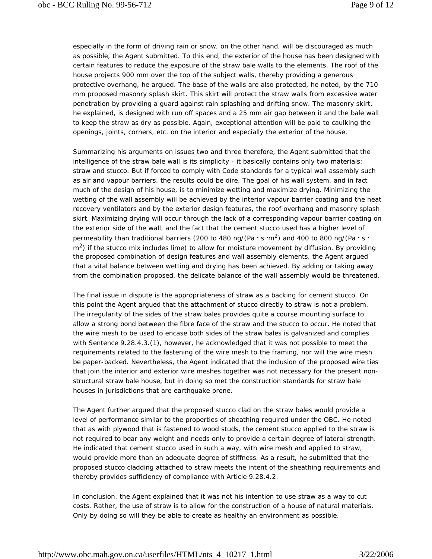especially in the form of driving rain or snow, on the other hand, will be discouraged as much as possible, the Agent submitted. To this end, the exterior of the house has been designed with certain features to reduce the exposure of the straw bale walls to the elements. The roof of the house projects 900 mm over the top of the subject walls, thereby providing a generous protective overhang, he argued. The base of the walls are also protected, he noted, by the 710 mm proposed masonry splash skirt. This skirt will protect the straw walls from excessive water penetration by providing a guard against rain splashing and drifting snow. The masonry skirt, he explained, is designed with run off spaces and a 25 mm air gap between it and the bale wall to keep the straw as dry as possible. Again, exceptional attention will be paid to caulking the openings, joints, corners, etc. on the interior and especially the exterior of the house.

Summarizing his arguments on issues two and three therefore, the Agent submitted that the intelligence of the straw bale wall is its simplicity - it basically contains only two materials; straw and stucco. But if forced to comply with Code standards for a typical wall assembly such as air and vapour barriers, the results could be dire. The goal of his wall system, and in fact much of the design of his house, is to minimize wetting and maximize drying. Minimizing the wetting of the wall assembly will be achieved by the interior vapour barrier coating and the heat recovery ventilators and by the exterior design features, the roof overhang and masonry splash skirt. Maximizing drying will occur through the lack of a corresponding vapour barrier coating on the exterior side of the wall, and the fact that the cement stucco used has a higher level of permeability than traditional barriers (200 to 480 ng/(Pa **.** s **.** m2) and 400 to 800 ng/(Pa **.** s **.**  $\rm m^2$ ) if the stucco mix includes lime) to allow for moisture movement by diffusion. By providing the proposed combination of design features and wall assembly elements, the Agent argued that a vital balance between wetting and drying has been achieved. By adding or taking away from the combination proposed, the delicate balance of the wall assembly would be threatened.

The final issue in dispute is the appropriateness of straw as a backing for cement stucco. On this point the Agent argued that the attachment of stucco directly to straw is not a problem. The irregularity of the sides of the straw bales provides quite a course mounting surface to allow a strong bond between the fibre face of the straw and the stucco to occur. He noted that the wire mesh to be used to encase both sides of the straw bales is galvanized and complies with Sentence 9.28.4.3.(1), however, he acknowledged that it was not possible to meet the requirements related to the fastening of the wire mesh to the framing, nor will the wire mesh be paper-backed. Nevertheless, the Agent indicated that the inclusion of the proposed wire ties that join the interior and exterior wire meshes together was not necessary for the present nonstructural straw bale house, but in doing so met the construction standards for straw bale houses in jurisdictions that are earthquake prone.

The Agent further argued that the proposed stucco clad on the straw bales would provide a level of performance similar to the properties of sheathing required under the OBC. He noted that as with plywood that is fastened to wood studs, the cement stucco applied to the straw is not required to bear any weight and needs only to provide a certain degree of lateral strength. He indicated that cement stucco used in such a way, with wire mesh and applied to straw, would provide more than an adequate degree of stiffness. As a result, he submitted that the proposed stucco cladding attached to straw meets the intent of the sheathing requirements and thereby provides sufficiency of compliance with Article 9.28.4.2.

In conclusion, the Agent explained that it was not his intention to use straw as a way to cut costs. Rather, the use of straw is to allow for the construction of a house of natural materials. Only by doing so will they be able to create as healthy an environment as possible.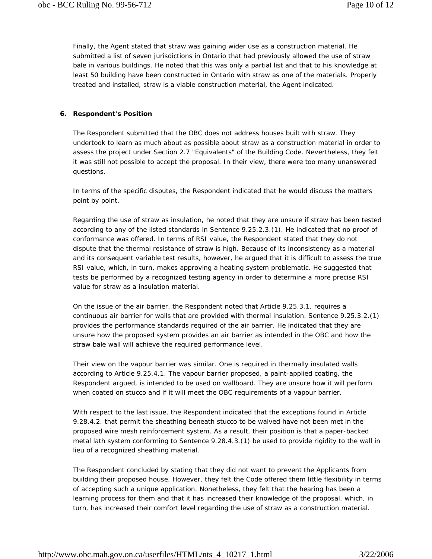Finally, the Agent stated that straw was gaining wider use as a construction material. He submitted a list of seven jurisdictions in Ontario that had previously allowed the use of straw bale in various buildings. He noted that this was only a partial list and that to his knowledge at least 50 building have been constructed in Ontario with straw as one of the materials. Properly treated and installed, straw is a viable construction material, the Agent indicated.

## **6. Respondent's Position**

The Respondent submitted that the OBC does not address houses built with straw. They undertook to learn as much about as possible about straw as a construction material in order to assess the project under Section 2.7 "Equivalents" of the Building Code. Nevertheless, they felt it was still not possible to accept the proposal. In their view, there were too many unanswered questions.

In terms of the specific disputes, the Respondent indicated that he would discuss the matters point by point.

Regarding the use of straw as insulation, he noted that they are unsure if straw has been tested according to any of the listed standards in Sentence 9.25.2.3.(1). He indicated that no proof of conformance was offered. In terms of RSI value, the Respondent stated that they do not dispute that the thermal resistance of straw is high. Because of its inconsistency as a material and its consequent variable test results, however, he argued that it is difficult to assess the true RSI value, which, in turn, makes approving a heating system problematic. He suggested that tests be performed by a recognized testing agency in order to determine a more precise RSI value for straw as a insulation material.

On the issue of the air barrier, the Respondent noted that Article 9.25.3.1. requires a continuous air barrier for walls that are provided with thermal insulation. Sentence 9.25.3.2.(1) provides the performance standards required of the air barrier. He indicated that they are unsure how the proposed system provides an air barrier as intended in the OBC and how the straw bale wall will achieve the required performance level.

Their view on the vapour barrier was similar. One is required in thermally insulated walls according to Article 9.25.4.1. The vapour barrier proposed, a paint-applied coating, the Respondent argued, is intended to be used on wallboard. They are unsure how it will perform when coated on stucco and if it will meet the OBC requirements of a vapour barrier.

With respect to the last issue, the Respondent indicated that the exceptions found in Article 9.28.4.2. that permit the sheathing beneath stucco to be waived have not been met in the proposed wire mesh reinforcement system. As a result, their position is that a paper-backed metal lath system conforming to Sentence 9.28.4.3.(1) be used to provide rigidity to the wall in lieu of a recognized sheathing material.

The Respondent concluded by stating that they did not want to prevent the Applicants from building their proposed house. However, they felt the Code offered them little flexibility in terms of accepting such a unique application. Nonetheless, they felt that the hearing has been a learning process for them and that it has increased their knowledge of the proposal, which, in turn, has increased their comfort level regarding the use of straw as a construction material.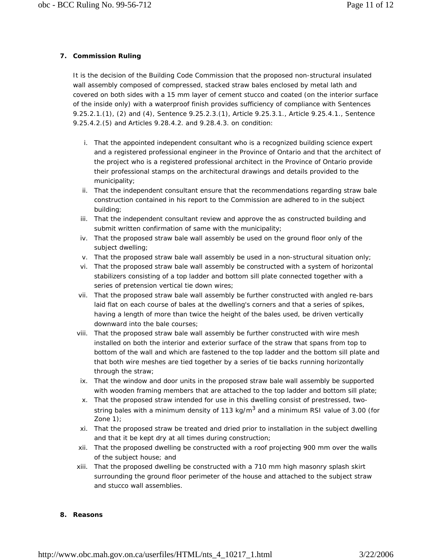# **7. Commission Ruling**

It is the decision of the Building Code Commission that the proposed non-structural insulated wall assembly composed of compressed, stacked straw bales enclosed by metal lath and covered on both sides with a 15 mm layer of cement stucco and coated (on the interior surface of the inside only) with a waterproof finish provides sufficiency of compliance with Sentences 9.25.2.1.(1), (2) and (4), Sentence 9.25.2.3.(1), Article 9.25.3.1., Article 9.25.4.1., Sentence 9.25.4.2.(5) and Articles 9.28.4.2. and 9.28.4.3. on condition:

- i. That the appointed independent consultant who is a recognized building science expert and a registered professional engineer in the Province of Ontario and that the architect of the project who is a registered professional architect in the Province of Ontario provide their professional stamps on the architectural drawings and details provided to the municipality;
- ii. That the independent consultant ensure that the recommendations regarding straw bale construction contained in his report to the Commission are adhered to in the subject building;
- iii. That the independent consultant review and approve the as constructed building and submit written confirmation of same with the municipality;
- iv. That the proposed straw bale wall assembly be used on the ground floor only of the subject dwelling;
- v. That the proposed straw bale wall assembly be used in a non-structural situation only;
- vi. That the proposed straw bale wall assembly be constructed with a system of horizontal stabilizers consisting of a top ladder and bottom sill plate connected together with a series of pretension vertical tie down wires;
- vii. That the proposed straw bale wall assembly be further constructed with angled re-bars laid flat on each course of bales at the dwelling's corners and that a series of spikes, having a length of more than twice the height of the bales used, be driven vertically downward into the bale courses;
- viii. That the proposed straw bale wall assembly be further constructed with wire mesh installed on both the interior and exterior surface of the straw that spans from top to bottom of the wall and which are fastened to the top ladder and the bottom sill plate and that both wire meshes are tied together by a series of tie backs running horizontally through the straw;
- ix. That the window and door units in the proposed straw bale wall assembly be supported with wooden framing members that are attached to the top ladder and bottom sill plate;
- x. That the proposed straw intended for use in this dwelling consist of prestressed, twostring bales with a minimum density of 113 kg/m $3$  and a minimum RSI value of 3.00 (for Zone 1);
- xi. That the proposed straw be treated and dried prior to installation in the subject dwelling and that it be kept dry at all times during construction;
- xii. That the proposed dwelling be constructed with a roof projecting 900 mm over the walls of the subject house; and
- xiii. That the proposed dwelling be constructed with a 710 mm high masonry splash skirt surrounding the ground floor perimeter of the house and attached to the subject straw and stucco wall assemblies.

#### **8. Reasons**